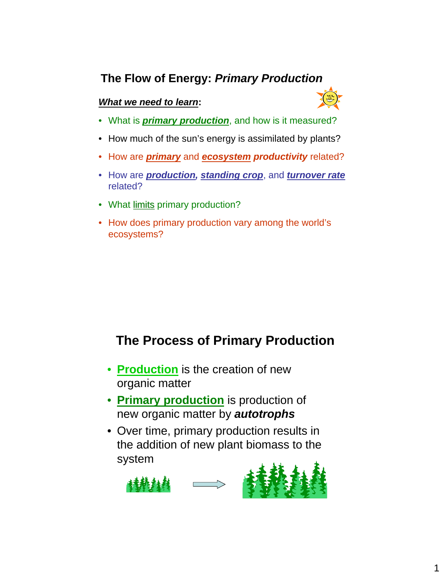## **The Flow of Energy:** *Primary Production*

#### *What we need to learn***:**



- What is *primary production*, and how is it measured?
- How much of the sun's energy is assimilated by plants?
- How are *primary* and *ecosystem productivity* related?
- How are *production, standing crop*, and *turnover rate* related?
- What limits primary production?
- How does primary production vary among the world's ecosystems?

# **The Process of Primary Production**

- **Production** is the creation of new organic matter
- **Primary production** is production of new organic matter by *autotrophs*
- Over time, primary production results in the addition of new plant biomass to the system

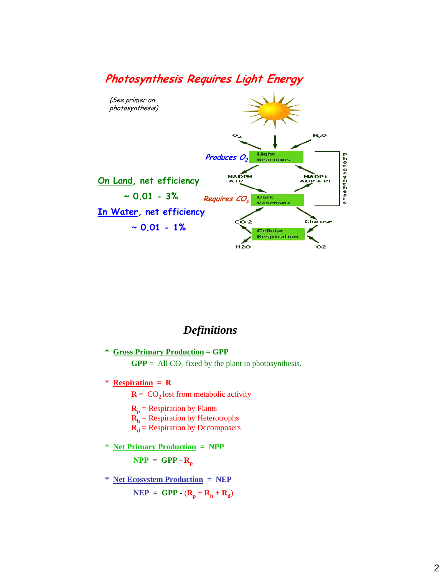

### *Definitions*

- **\* Gross Primary Production = GPP**  $GPP = All CO<sub>2</sub> fixed by the plant in photosynthesis.$
- **\* Respiration = R**
	- $R = CO<sub>2</sub>$  lost from metabolic activity
	- $\mathbf{R}_{\mathbf{p}}$  = Respiration by Plants
	- $\mathbf{R}_h$  = Respiration by Heterotrophs
	- $R_d$  = Respiration by Decomposers
- **\* Net Primary Production = NPP**

 $NPP = GPP - R_p$ 

**\* Net Ecosystem Production = NEP**  $NEP = GPP - (R_p + R_h + R_d)$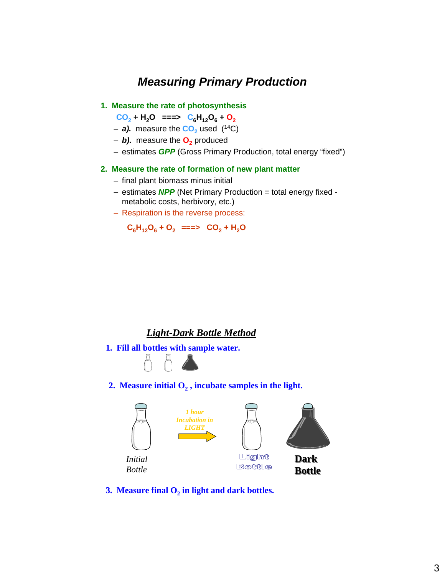### *Measuring Primary Production*

#### **1. Measure the rate of photosynthesis**

 $CO_2$  **+ H<sub>2</sub>O** ===>  $C_6H_{12}O_6 + O_2$ 

- $-$  **a).** measure the  $CO<sub>2</sub>$  used (<sup>14</sup>C)
- $-$  *b***).** measure the  $O<sub>2</sub>$  produced
- estimates *GPP* (Gross Primary Production, total energy "fixed")

#### **2. Measure the rate of formation of new plant matter**

- final plant biomass minus initial
- estimates *NPP* (Net Primary Production = total energy fixed metabolic costs, herbivory, etc.)
- Respiration is the reverse process:

 $C_6H_{12}O_6 + O_2 \implies CO_2 + H_2O$ 

#### *Light-Dark Bottle Method*

**1. Fill all bottles with sample water.** 



2. Measure initial  $O_2$ , incubate samples in the light.



**3. Measure final**  $O_2$  **in light and dark bottles.**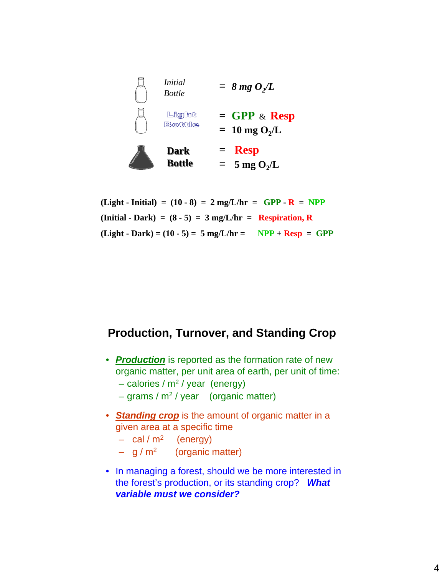

 $(Light - Initial) = (10 - 8) = 2 mg/L/hr = GPP - R = NPP$  $(\text{Initial - Dark}) = (8 - 5) = 3 \text{ mg/L/hr} = \text{Respiration, R}$  $(Light - Dark) = (10 - 5) = 5 mg/L/hr = NPP + Resp = GPP$ 

### **Production, Turnover, and Standing Crop**

- *Production* is reported as the formation rate of new organic matter, per unit area of earth, per unit of time:
	- $-$  calories / m<sup>2</sup> / year (energy)
	- $-$  grams / m<sup>2</sup> / year (organic matter)
- *Standing crop* is the amount of organic matter in a given area at a specific time
	- $-$  cal / m<sup>2</sup> (energy)
	- $-$  g / m<sup>2</sup> (organic matter)
- In managing a forest, should we be more interested in the forest's production, or its standing crop? *What variable must we consider?*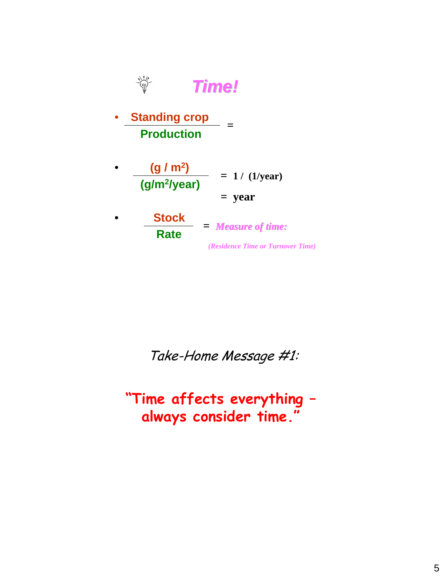

Take-Home Message #1:

**"Time affects everything – always consider time."**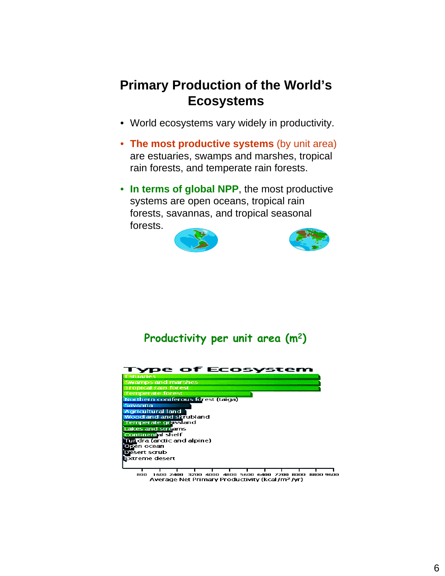# **Primary Production of the World's Ecosystems**

- World ecosystems vary widely in productivity.
- **The most productive systems** (by unit area) are estuaries, swamps and marshes, tropical rain forests, and temperate rain forests.
- **In terms of global NPP**, the most productive systems are open oceans, tropical rain forests, savannas, and tropical seasonal forests.





## **Productivity per unit area (m2)**



and 1600 2400 3200 4000 4800 5600 6400 7200 8000 8800 9600<br>Average Net Primary Productivity (kcal/m<sup>2</sup>/yr)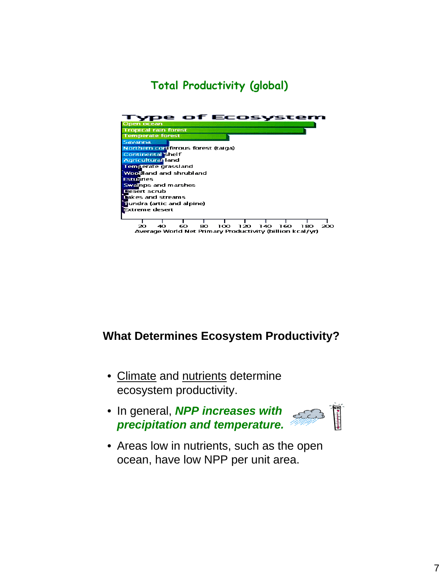## **Total Productivity (global)**



1 1 1 1 1 1 1 1<br>40 60 80 100 120 140 160 180 20 200 Average World Net Primary Productivity (billion kcal/yr)

### **What Determines Ecosystem Productivity?**

- Climate and nutrients determine ecosystem productivity.
- In general, *NPP increases with*  EC *precipitation and temperature.*



• Areas low in nutrients, such as the open ocean, have low NPP per unit area.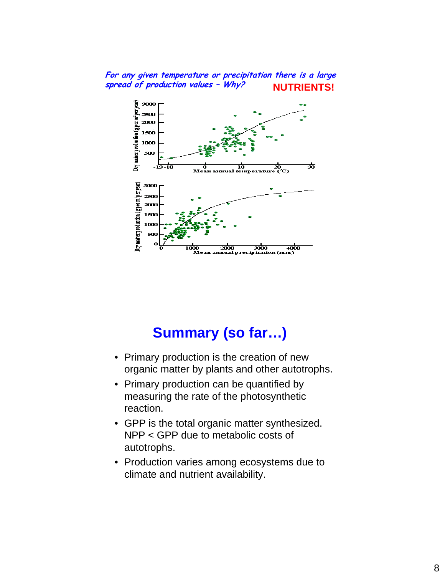#### **For any given temperature or precipitation there is a large spread of production values – Why? NUTRIENTS!**



# **Summary (so far…)**

- Primary production is the creation of new organic matter by plants and other autotrophs.
- Primary production can be quantified by measuring the rate of the photosynthetic reaction.
- GPP is the total organic matter synthesized. NPP < GPP due to metabolic costs of autotrophs.
- Production varies among ecosystems due to climate and nutrient availability.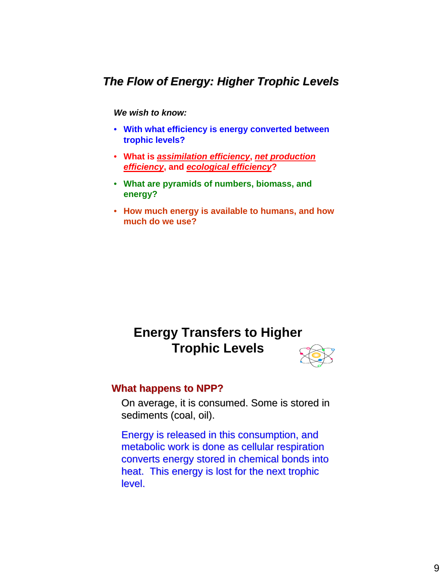### *The Flow of Energy: Higher Trophic Levels The Flow of Energy: Higher Trophic Levels*

#### *We wish to know:*

- **With what efficiency is energy converted between trophic levels?**
- **What is** *assimilation efficiency***,** *net production efficiency***, and** *ecological efficiency***?**
- **What are pyramids of numbers, biomass, and energy?**
- **How much energy is available to humans, and how much do we use?**

# **Energy Transfers to Higher Trophic Levels**



#### **What happens to NPP?**

On average, it is consumed. Some is stored in sediments (coal, oil).

Energy is released in this consumption, and metabolic work is done as cellular respiration converts energy stored in chemical bonds into heat. This energy is lost for the next trophic level.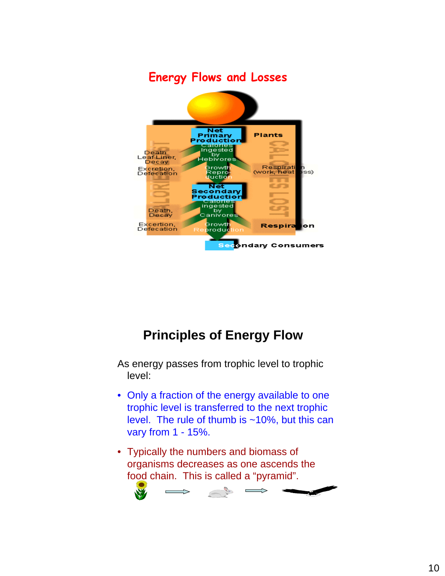

# **Principles of Energy Flow**

As energy passes from trophic level to trophic level:

- Only a fraction of the energy available to one trophic level is transferred to the next trophic level. The rule of thumb is ~10%, but this can vary from 1 - 15%.
- Typically the numbers and biomass of organisms decreases as one ascends the food chain. This is called a "pyramid".

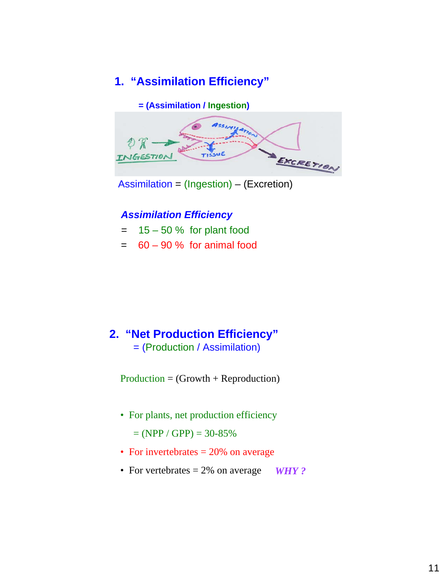### **1. "Assimilation Efficiency"**



Assimilation = (Ingestion) – (Excretion)

### *Assimilation Efficiency*

- $= 15 50 %$  for plant food
- $= 60 90 %$  for animal food

### **2. "Net Production Efficiency"** = (Production / Assimilation)

Production = (Growth + Reproduction)

• For plants, net production efficiency

 $= (NPP / GPP) = 30-85%$ 

- For invertebrates  $= 20\%$  on average
- For vertebrates = 2% on average *WHY ?*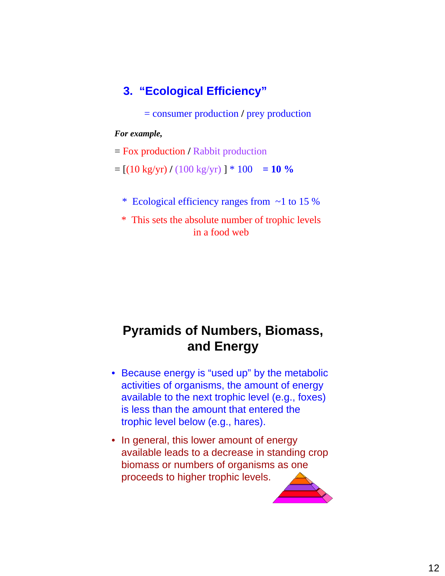### **3. "Ecological Efficiency"**

= consumer production **/** prey production

#### *For example,*

= Fox production **/** Rabbit production

 $=$   $[(10 \text{ kg/yr}) / (100 \text{ kg/yr})] * 100 = 10 \%$ 

- \* Ecological efficiency ranges from ~1 to 15 %
- \* This sets the absolute number of trophic levels in a food web

# **Pyramids of Numbers, Biomass, and Energy**

- Because energy is "used up" by the metabolic activities of organisms, the amount of energy available to the next trophic level (e.g., foxes) is less than the amount that entered the trophic level below (e.g., hares).
- In general, this lower amount of energy available leads to a decrease in standing crop biomass or numbers of organisms as one proceeds to higher trophic levels.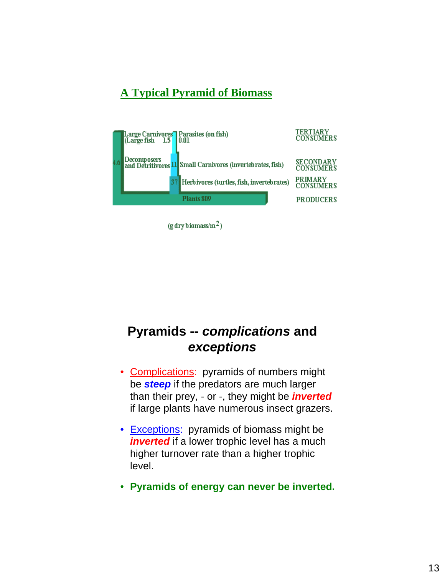### **A Typical Pyramid of Biomass**



 $(g$  dry biomass/m<sup>2</sup>)

# **Pyramids --** *complications* **and**  *exceptions*

- Complications: pyramids of numbers might be *steep* if the predators are much larger than their prey, - or -, they might be *inverted* if large plants have numerous insect grazers.
- Exceptions: pyramids of biomass might be *inverted* if a lower trophic level has a much higher turnover rate than a higher trophic level.
- **Pyramids of energy can never be inverted.**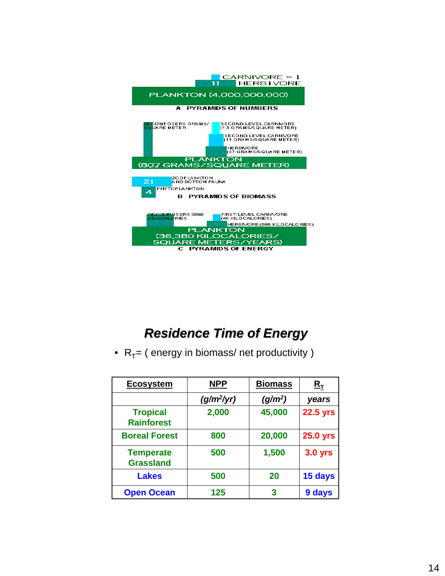

# *Residence Time of Energy Residence Time of Energy*

•  $R_T =$  ( energy in biomass/ net productivity )

| <b>Ecosystem</b>                     | <b>NPP</b>   | <b>Biomass</b>      | ${\tt R}_{\tt T}$ |
|--------------------------------------|--------------|---------------------|-------------------|
|                                      | $(g/m^2/yr)$ | (g/m <sup>2</sup> ) | years             |
| <b>Tropical</b><br><b>Rainforest</b> | 2,000        | 45,000              | <b>22.5 yrs</b>   |
| <b>Boreal Forest</b>                 | 800          | 20,000              | <b>25.0 yrs</b>   |
| <b>Temperate</b><br><b>Grassland</b> | 500          | 1,500               | <b>3.0 yrs</b>    |
| <b>Lakes</b>                         | 500          | 20                  | 15 days           |
| <b>Open Ocean</b>                    | 125          | 3                   | 9 days            |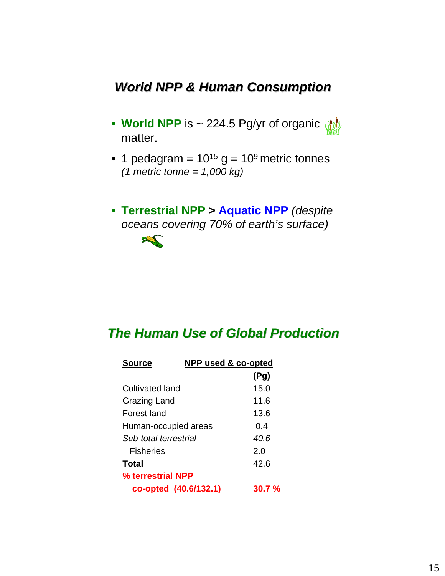# *World NPP & Human Consumption World NPP & Human Consumption*

- **World NPP** is ~ 224.5 Pg/yr of organic matter.
- 1 pedagram =  $10^{15}$  g =  $10^9$  metric tonnes *(1 metric tonne = 1,000 kg)*
- **Terrestrial NPP > Aquatic NPP** *(despite oceans covering 70% of earth's surface)*



## *The Human Use of Global Production The Human Use of Global Production*

| <b>Source</b>         | NPP used & co-opted |           |
|-----------------------|---------------------|-----------|
|                       |                     | (Pg)      |
| Cultivated land       |                     | 15.0      |
| <b>Grazing Land</b>   |                     | 11.6      |
| Forest land           |                     | 13.6      |
| Human-occupied areas  |                     | 0.4       |
| Sub-total terrestrial |                     | 40.6      |
| <b>Fisheries</b>      |                     | 2.0       |
| Total                 |                     | 42.6      |
| % terrestrial NPP     |                     |           |
| co-opted (40.6/132.1) |                     | $30.7 \%$ |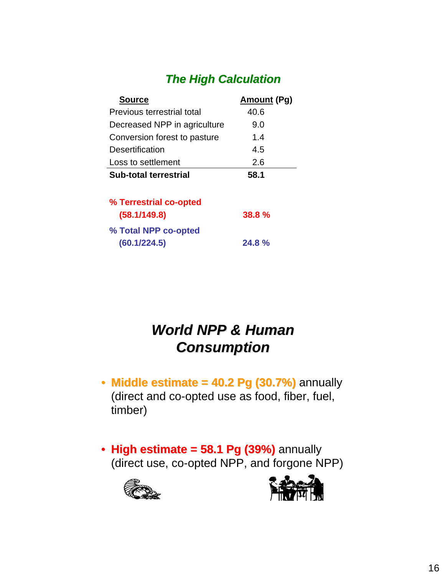# *The High Calculation The High Calculation*

| <b>Source</b>                                  | <b>Amount (Pg)</b> |
|------------------------------------------------|--------------------|
| Previous terrestrial total                     | 40.6               |
| Decreased NPP in agriculture                   | 9.0                |
| Conversion forest to pasture                   | 1.4                |
| Desertification                                | 4.5                |
| Loss to settlement                             | 2.6                |
| Sub-total terrestrial                          | 58.1               |
| % Terrestrial co-opted                         |                    |
| (58.1/149.8)                                   | 38.8%              |
| <sup>0</sup> / <sub>-</sub> Total NDD co-ontad |                    |

| % Total NPP co-opted |       |
|----------------------|-------|
| (60.1/224.5)         | 24.8% |

# **World NPP & Human** *Consumption Consumption*

- $\cdot$  **Middle estimate = 40.2 Pg (30.7%)** annually (direct and co-opted use as food, fiber, fuel, timber)
- High estimate = 58.1 Pg (39%) annually (direct use, co-opted NPP, and forgone NPP)